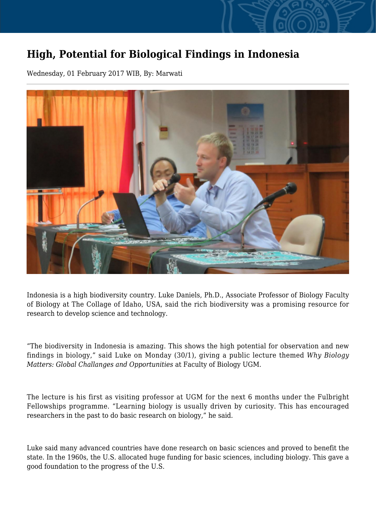## **High, Potential for Biological Findings in Indonesia**

Wednesday, 01 February 2017 WIB, By: Marwati



Indonesia is a high biodiversity country. Luke Daniels, Ph.D., Associate Professor of Biology Faculty of Biology at The Collage of Idaho, USA, said the rich biodiversity was a promising resource for research to develop science and technology.

"The biodiversity in Indonesia is amazing. This shows the high potential for observation and new findings in biology," said Luke on Monday (30/1), giving a public lecture themed *Why Biology Matters: Global Challanges and Opportunities* at Faculty of Biology UGM.

The lecture is his first as visiting professor at UGM for the next 6 months under the Fulbright Fellowships programme. "Learning biology is usually driven by curiosity. This has encouraged researchers in the past to do basic research on biology," he said.

Luke said many advanced countries have done research on basic sciences and proved to benefit the state. In the 1960s, the U.S. allocated huge funding for basic sciences, including biology. This gave a good foundation to the progress of the U.S.